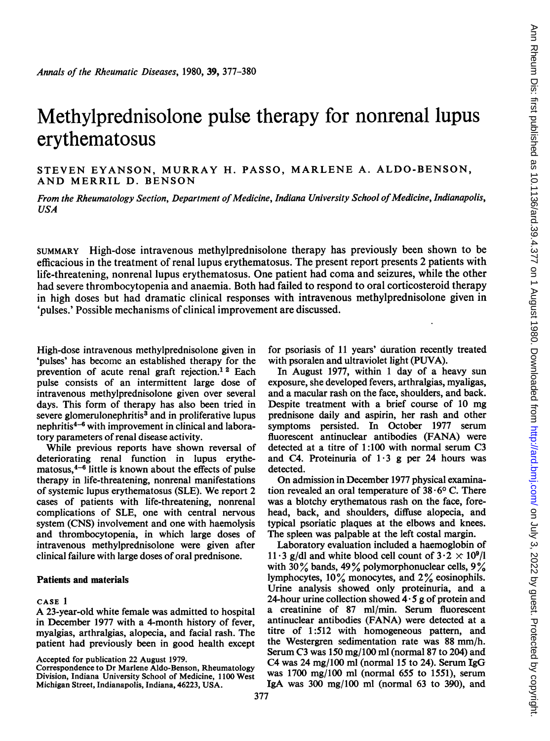# Methylprednisolone pulse therapy for nonrenal lupus erythematosus

STEVEN EYANSON, MURRAY H. PASSO, MARLENE A. ALDO-BENSON, AND MERRIL D. BENSON

From the Rheumatology Section, Department of Medicine, Indiana University School of Medicine, Indianapolis, USA

SUMMARY High-dose intravenous methylprednisolone therapy has previously been shown to be efficacious in the treatment of renal lupus erythematosus. The present report presents 2 patients with life-threatening, nonrenal lupus erythematosus. One patient had coma and seizures, while the other had severe thrombocytopenia and anaemia. Both had failed to respond to oral corticosteroid therapy in high doses but had dramatic clinical responses with intravenous methylprednisolone given in 'pulses.' Possible mechanisms of clinical improvement are discussed.

High-dose intravenous methylprednisolone given in 'pulses' has become an established therapy for the prevention of acute renal graft rejection.<sup>12</sup> Each pulse consists of an intermittent large dose of intravenous methylprednisolone given over several days. This form of therapy has also been tried in severe glomerulonephritis<sup>3</sup> and in proliferative lupus nephritis<sup>4-6</sup> with improvement in clinical and laboratory parameters of renal disease activity.

While previous reports have shown reversal of deteriorating renal function in lupus erythematosus, $4-6$  little is known about the effects of pulse therapy in life-threatening, nonrenal manifestations of systemic lupus erythematosus (SLE). We report <sup>2</sup> cases of patients with life-threatening, nonrenal complications of SLE, one with central nervous system (CNS) involvement and one with haemolysis and thrombocytopenia, in which large doses of intravenous methylprednisolone were given after clinical failure with large doses of oral prednisone.

## Patients and materials

## CASE <sup>I</sup>

A 23-year-old white female was admitted to hospital in December 1977 with a 4-month history of fever, myalgias, arthralgias, alopecia, and facial rash. The patient had previously been in good health except

Accepted for publication 22 August 1979.

Correspondence to Dr Marlene Aldo-Benson, Rheumatology Division, Indiana University School of Medicine, 1100 West Michigan Street, Indianapolis, Indiana, 46223, USA.

for psoriasis of 11 years' duration recently treated with psoralen and ultraviolet light (PUVA).

In August 1977, within <sup>1</sup> day of a heavy sun exposure, she developed fevers, arthralgias, myaligas, and a macular rash on the face, shoulders, and back. Despite treatment with a brief course of 10 mg prednisone daily and aspirin, her rash and other symptoms persisted. In October 1977 serum fluorescent antinuclear antibodies (FANA) were detected at a titre of 1:100 with normal serum C3 and C4. Proteinuria of  $1 \cdot 3$  g per 24 hours was detected.

On admission in December 1977 physical examination revealed an oral temperature of  $38.6^{\circ}$  C. There was a blotchy erythematous rash on the face, forehead, back, and shoulders, diffuse alopecia, and typical psoriatic plaques at the elbows and knees. The spleen was palpable at the left costal margin.

Laboratory evaluation included a haemoglobin of 11 3 g/dl and white blood cell count of  $3 \cdot 2 \times 10^9$ /l with  $30\%$  bands,  $49\%$  polymorphonuclear cells,  $9\%$ lymphocytes, 10% monocytes, and 2% eosinophils. Urine analysis showed only proteinuria, and a 24-hour urine collection showed  $4.5$  g of protein and a creatinine of 87 ml/min. Serum fluorescent antinuclear antibodies (FANA) were detected at a titre of 1:512 with homogeneous pattern, and the Westergren sedimentation rate was 88 mm/h. Serum C3 was 150 mg/100 ml (normal 87 to 204) and C4 was 24 mg/100 ml (normal 15 to 24). Serum IgG was 1700 mg/100 ml (normal 655 to 1551), serum IgA was  $300 \text{ mg}/100 \text{ ml}$  (normal  $63$  to  $390$ ), and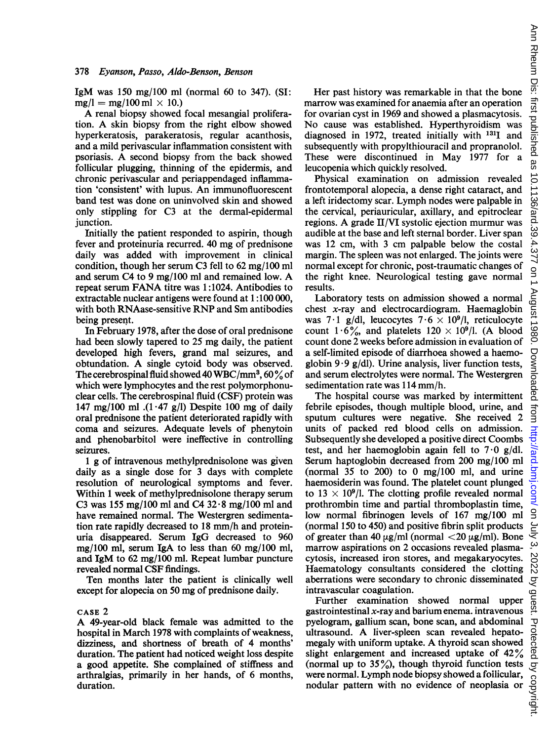IgM was 150 mg/100 ml (normal 60 to 347). (SI:  $mg/l = mg/100$  ml  $\times$  10.)

A renal biopsy showed focal mesangial proliferation. A skin biopsy from the right elbow showed hyperkeratosis, parakeratosis, regular acanthosis, and a mild perivascular inflammation consistent with psoriasis. A second biopsy from the back showed follicular plugging, thinning of the epidermis, and chronic perivascular and periappendaged inflammation 'consistent' with lupus. An immunofluorescent band test was done on uninvolved skin and showed only stippling for C3 at the dermal-epidermal junction.

Initially the patient responded to aspirin, though fever and proteinuria recurred. 40 mg of prednisone daily was added with improvement in clinical condition, though her serum C3 fell to 62 mg/100 ml and serum C4 to <sup>9</sup> mg/100 ml and remained low. A repeat serum FANA titre was 1:1024. Antibodies to extractable nuclear antigens were found at 1 :100 000, with both RNAase-sensitive RNP and Sm antibodies being present.

In February 1978, after the dose of oral prednisone had been slowly tapered to 25 mg daily, the patient developed high fevers, grand mal seizures, and obtundation. A single cytoid body was observed. The cerebrospinal fluid showed 40 WBC/mm<sup>3</sup>, 60 $\frac{9}{6}$  of which were lymphocytes and the rest polymorphonuclear cells. The cerebrospinal fluid (CSF) protein was 147 mg/100 ml  $(1.47 \text{ g/l})$  Despite 100 mg of daily oral prednisone the patient deteriorated rapidly with coma and seizures. Adequate levels of phenytoin and phenobarbitol were ineffective in controlling seizures.

<sup>1</sup> g of intravenous methylprednisolone was given daily as a single dose for 3 days with complete resolution of neurological symptoms and fever. Within <sup>1</sup> week of methylprednisolone therapy serum C3 was 155 mg/100 ml and C4 32 $\cdot$ 8 mg/100 ml and have remained normal. The Westergren sedimentation rate rapidly decreased to <sup>18</sup> mm/h and proteinuria disappeared. Serum IgG decreased to 960 mg/100 ml, serum IgA to less than 60 mg/100 ml, and IgM to 62 mg/100 ml. Repeat lumbar puncture revealed normal CSF findings.

Ten months later the patient is clinically well except for alopecia on 50 mg of prednisone daily.

#### CASE 2

A 49-year-old black female was admitted to the hospital in March 1978 with complaints of weakness, dizziness, and shortness of breath of 4 months' duration. The patient had noticed weight loss despite a good appetite. She complained of stiffness and arthralgias, primarily in her hands, of 6 months, duration.

Her past history was remarkable in that the bone marrow was examined for anaemia after an operation for ovarian cyst in 1969 and showed a plasmacytosis. No cause was established. Hyperthyroidism was diagnosed in 1972, treated initially with <sup>1311</sup> and subsequently with propylthiouracil and propranolol. These were discontinued in May 1977 for a leucopenia which quickly resolved.

Physical examination on admission revealed frontotemporal alopecia, a dense right cataract, and a left iridectomy scar. Lymph nodes were palpable in the cervical, periauricular, axillary, and epitroclear regions. A grade II/VI systolic ejection murmur was audible at the base and left sternal border. Liver span was 12 cm, with <sup>3</sup> cm palpable below the costal margin. The spleen was not enlarged. The joints were normal except for chronic, post-traumatic changes of the right knee. Neurological testing gave normal results.

Laboratory tests on admission showed a normal chest x-ray and electrocardiogram. Haemaglobin was 7.1 g/dl, leucocytes  $7.6 \times 10^9$ /l, reticulocyte count 1.6%, and platelets  $120 \times 10^9$ /l. (A blood count done 2 weeks before admission in evaluation of a self-limited episode of diarrhoea showed a haemoglobin  $9.9$  g/dl). Urine analysis, liver function tests, and serum electrolytes were normal. The Westergren sedimentation rate was 114 mm/h.

The hospital course was marked by intermittent febrile episodes, though multiple blood, urine, and sputum cultures were negative. She received 2 units of packed red blood cells on admission. Subsequently she developed a positive direct Coombs test, and her haemoglobin again fell to  $7.0 \text{ g/dl}$ . Serum haptoglobin decreased from 200 mg/100 ml (normal  $35$  to  $200$ ) to 0 mg/100 ml, and urine haemosiderin was found. The platelet count plunged to 13  $\times$  10<sup>9</sup>/l. The clotting profile revealed normal prothrombin time and partial thromboplastin time, low normal fibrinogen levels of 167 mg/100 ml (normal 150 to 450) and positive fibrin split products of greater than 40  $\mu$ g/ml (normal <20  $\mu$ g/ml). Bone marrow aspirations on 2 occasions revealed plasmacytosis, increased iron stores, and megakaryocytes. Haematology consultants considered the clotting aberrations were secondary to chronic disseminated intravascular coagulation.

Further examination showed normal upper gastrointestinal x-ray and barium enema. intravenous pyelogram, gallium scan, bone scan, and abdominal ultrasound. A liver-spleen scan revealed hepatomegaly with uniform uptake. A thyroid scan showed slight enlargement and increased uptake of 42% (normal up to  $35\%$ ), though thyroid function tests were normal. Lymph node biopsy showed a foilicular, nodular pattern with no evidence of neoplasia or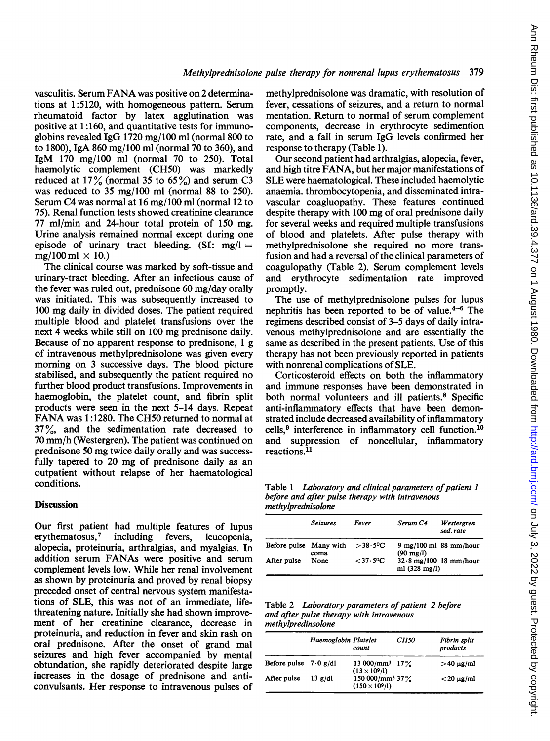vasculitis. Serum FANAwas positive on <sup>2</sup> determinations at 1:5120, with homogeneous pattern. Serum rheumatoid factor by latex agglutination was positive at 1:160, and quantitative tests for immunoglobins revealed IgG 1720 mg/100 ml (normal 800 to to 1800), IgA 860 mg/100 ml (normal 70 to 360), and IgM 170 mg/100 ml (normal 70 to 250). Total haemolytic complement (CH50) was markedly reduced at  $17\%$  (normal 35 to 65%) and serum C3 was reduced to 35 mg/100 ml (normal 88 to 250). Serum C4 was normal at 16 mg/100 ml (normal 12 to 75). Renal function tests showed creatinine clearance 77 ml/min and 24-hour total protein of 150 mg. Urine analysis remained normal except during one episode of urinary tract bleeding.  $(SI: mg/l=$  $mg/100$  ml  $\times$  10.)

The clinical course was marked by soft-tissue and urinary-tract bleeding. After an infectious cause of the fever was ruled out, prednisone 60 mg/day orally was initiated. This was subsequently increased to 100 mg daily in divided doses. The patient required multiple blood and platelet transfusions over the next 4 weeks while still on 100 mg prednisone daily. Because of no apparent response to prednisone, <sup>1</sup> g of intravenous methylprednisolone was given every morning on 3 successive days. The blood picture stabilised, and subsequently the patient required no further blood product transfusions. Improvements in haemoglobin, the platelet count, and fibrin split products were seen in the next 5-14 days. Repeat FANA was 1:1280. The CH50 returned to normal at 37 %, and the sedimentation rate decreased to 70 mm/h (Westergren). The patient was continued on prednisone 50 mg twice daily orally and was successfully tapered to 20 mg of prednisone daily as an outpatient without relapse of her haematological conditions.

### **Discussion**

Our first patient had multiple features of lupus erythematosus,7 including fevers, leucopenia, alopecia, proteinuria, arthralgias, and myalgias. In addition serum FANAs were positive and serum complement levels low. While her renal involvement as shown by proteinuria and proved by renal biopsy preceded onset of central nervous system manifestations of SLE, this was not of an immediate, lifethreatening nature. Initially she had shown improvement of her creatinine clearance, decrease in proteinuria, and reduction in fever and skin rash on oral prednisone. After the onset of grand mal seizures and high fever accompanied by mental obtundation, she rapidly deteriorated despite large increases in the dosage of prednisone and anticonvulsants. Her response to intravenous pulses of

methylprednisolone was dramatic, with resolution of fever, cessations of seizures, and a return to normal mentation. Return to normal of serum complement components, decrease in erythrocyte sedimention rate, and a fall in serum IgG levels confirmed her response to therapy (Table 1).

Our second patient had arthralgias, alopecia, fever, and high titre FANA, but her major manifestations of SLE were haematological. These included haemolytic anaemia. thrombocytopenia, and disseminated intravascular coagluopathy. These features continued despite therapy with 100 mg of oral prednisone daily for several weeks and required multiple transfusions of blood and platelets. After pulse therapy with methylprednisolone she required no more transfusion and had a reversal of the clinical parameters of coagulopathy (Table 2). Serum complement levels and erythrocyte sedimentation rate improved promptly.

The use of methylprednisolone pulses for lupus nephritis has been reported to be of value. $4-6$  The regimens described consist of 3-5 days of daily intravenous methylprednisolone and are essentially the same as described in the present patients. Use of this therapy has not been previously reported in patients with nonrenal complications of SLE.

Corticosteroid effects on both the inflammatory and immune responses have been demonstrated in both normal volunteers and ill patients.<sup>8</sup> Specific anti-inflammatory effects that have been demonstrated include decreased availability of inflammatory cells,<sup>9</sup> interference in inflammatory cell function.<sup>10</sup> and suppression of noncellular, inflammatory reactions.<sup>11</sup>

Table 1 Laboratory and clinical parameters of patient 1 before and after pulse therapy with intravenous methylprednisolone

|                        | <b>Seizures</b> | Fever              | Serum C4<br>Westergren<br>sed.rate                              |
|------------------------|-----------------|--------------------|-----------------------------------------------------------------|
| Before pulse Many with | coma            | $>$ 38 $\cdot$ 5°C | $9 \text{ mg}/100 \text{ ml}$ 88 mm/hour<br>$(90 \text{ mg/l})$ |
| After pulse            | None            | $<$ 37 $\cdot$ 5°C | $32.8 \text{ mg}/100$ 18 mm/hour<br>ml $(328 \text{ mg/l})$     |

Table 2 Laboratory parameters of patient 2 before and after pulse therapy with intravenous methylpredinsolone

|                                 | Haemoglobin Platelet | count                                                 | CH50 | Fibrin split<br>products |
|---------------------------------|----------------------|-------------------------------------------------------|------|--------------------------|
| Before pulse $7.0 \text{ g/dl}$ |                      | $13000 \, \text{mm}^3$ $17\%$<br>$(13 \times 10^9/l)$ |      | $>40 \mu$ g/ml           |
| After pulse                     | $13$ g/dl            | 150 000/mm <sup>3</sup> 37%<br>$(150 \times 10^9/l)$  |      | $<$ 20 $\mu$ g/ml        |